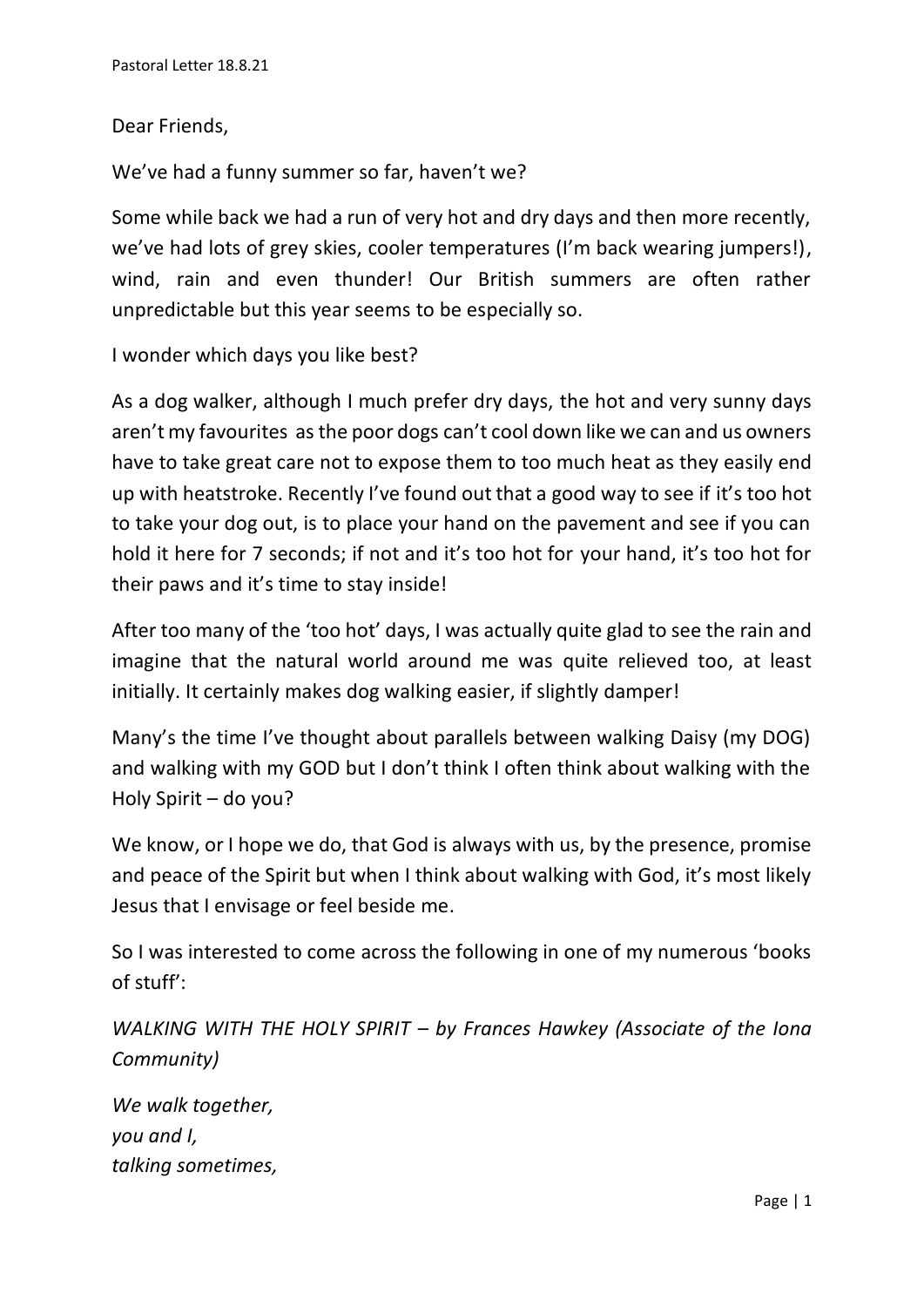## Dear Friends,

We've had a funny summer so far, haven't we?

Some while back we had a run of very hot and dry days and then more recently, we've had lots of grey skies, cooler temperatures (I'm back wearing jumpers!), wind, rain and even thunder! Our British summers are often rather unpredictable but this year seems to be especially so.

I wonder which days you like best?

As a dog walker, although I much prefer dry days, the hot and very sunny days aren't my favourites as the poor dogs can't cool down like we can and us owners have to take great care not to expose them to too much heat as they easily end up with heatstroke. Recently I've found out that a good way to see if it's too hot to take your dog out, is to place your hand on the pavement and see if you can hold it here for 7 seconds; if not and it's too hot for your hand, it's too hot for their paws and it's time to stay inside!

After too many of the 'too hot' days, I was actually quite glad to see the rain and imagine that the natural world around me was quite relieved too, at least initially. It certainly makes dog walking easier, if slightly damper!

Many's the time I've thought about parallels between walking Daisy (my DOG) and walking with my GOD but I don't think I often think about walking with the Holy Spirit – do you?

We know, or I hope we do, that God is always with us, by the presence, promise and peace of the Spirit but when I think about walking with God, it's most likely Jesus that I envisage or feel beside me.

So I was interested to come across the following in one of my numerous 'books of stuff':

*WALKING WITH THE HOLY SPIRIT – by Frances Hawkey (Associate of the Iona Community)*

*We walk together, you and I, talking sometimes,*